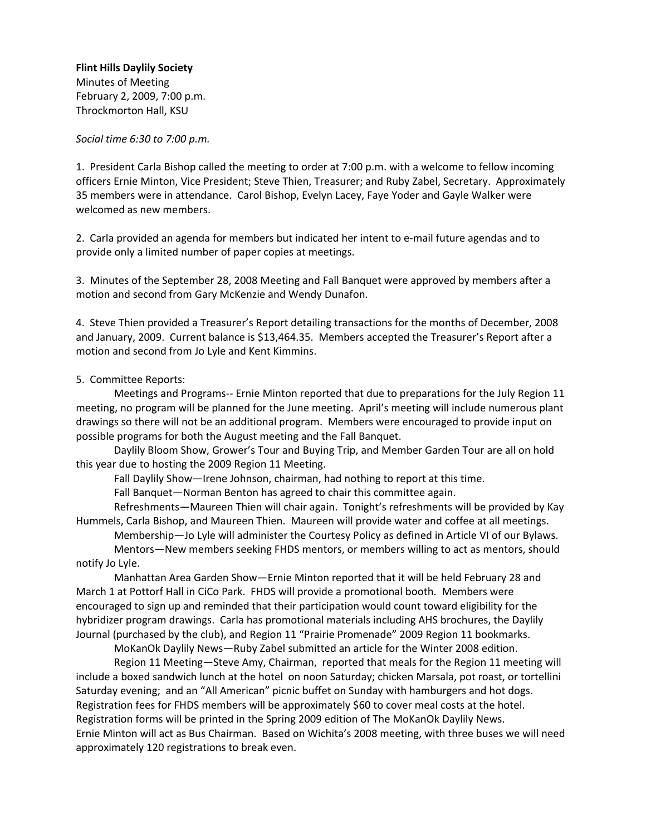*Social time 6:30 to 7:00 p.m.*

1. President Carla Bishop called the meeting to order at 7:00 p.m. with a welcome to fellow incoming officers Ernie Minton, Vice President; Steve Thien, Treasurer; and Ruby Zabel, Secretary. Approximately 35 members were in attendance. Carol Bishop, Evelyn Lacey, Faye Yoder and Gayle Walker were welcomed as new members.

2. Carla provided an agenda for members but indicated her intent to e‐mail future agendas and to provide only a limited number of paper copies at meetings.

3. Minutes of the September 28, 2008 Meeting and Fall Banquet were approved by members after a motion and second from Gary McKenzie and Wendy Dunafon.

4. Steve Thien provided a Treasurer's Report detailing transactions for the months of December, 2008 and January, 2009. Current balance is \$13,464.35. Members accepted the Treasurer's Report after a motion and second from Jo Lyle and Kent Kimmins.

### 5. Committee Reports:

Meetings and Programs-- Ernie Minton reported that due to preparations for the July Region 11 meeting, no program will be planned for the June meeting. April's meeting will include numerous plant drawings so there will not be an additional program. Members were encouraged to provide input on possible programs for both the August meeting and the Fall Banquet.

Daylily Bloom Show, Grower's Tour and Buying Trip, and Member Garden Tour are all on hold this year due to hosting the 2009 Region 11 Meeting.

Fall Daylily Show—Irene Johnson, chairman, had nothing to report at this time.

Fall Banquet—Norman Benton has agreed to chair this committee again.

Refreshments—Maureen Thien will chair again. Tonight's refreshments will be provided by Kay Hummels, Carla Bishop, and Maureen Thien. Maureen will provide water and coffee at all meetings.

Membership—Jo Lyle will administer the Courtesy Policy as defined in Article VI of our Bylaws. Mentors—New members seeking FHDS mentors, or members willing to act as mentors, should notify Jo Lyle.

Manhattan Area Garden Show—Ernie Minton reported that it will be held February 28 and March 1 at Pottorf Hall in CiCo Park. FHDS will provide a promotional booth. Members were encouraged to sign up and reminded that their participation would count toward eligibility for the hybridizer program drawings. Carla has promotional materials including AHS brochures, the Daylily Journal (purchased by the club), and Region 11 "Prairie Promenade" 2009 Region 11 bookmarks.

MoKanOk Daylily News—Ruby Zabel submitted an article for the Winter 2008 edition.

Region 11 Meeting—Steve Amy, Chairman, reported that meals for the Region 11 meeting will include a boxed sandwich lunch at the hotel on noon Saturday; chicken Marsala, pot roast, or tortellini Saturday evening; and an "All American" picnic buffet on Sunday with hamburgers and hot dogs. Registration fees for FHDS members will be approximately \$60 to cover meal costs at the hotel. Registration forms will be printed in the Spring 2009 edition of The MoKanOk Daylily News. Ernie Minton will act as Bus Chairman. Based on Wichita's 2008 meeting, with three buses we will need approximately 120 registrations to break even.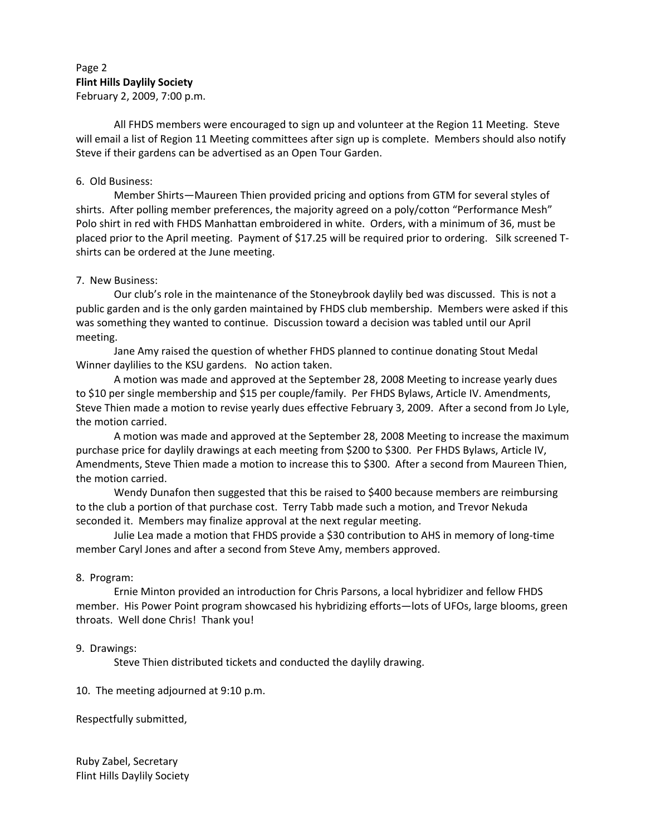## Page 2 **Flint Hills Daylily Society** February 2, 2009, 7:00 p.m.

All FHDS members were encouraged to sign up and volunteer at the Region 11 Meeting. Steve will email a list of Region 11 Meeting committees after sign up is complete. Members should also notify Steve if their gardens can be advertised as an Open Tour Garden.

### 6. Old Business:

Member Shirts—Maureen Thien provided pricing and options from GTM for several styles of shirts. After polling member preferences, the majority agreed on a poly/cotton "Performance Mesh" Polo shirt in red with FHDS Manhattan embroidered in white. Orders, with a minimum of 36, must be placed prior to the April meeting. Payment of \$17.25 will be required prior to ordering. Silk screened Tshirts can be ordered at the June meeting.

### 7. New Business:

Our club's role in the maintenance of the Stoneybrook daylily bed was discussed. This is not a public garden and is the only garden maintained by FHDS club membership. Members were asked if this was something they wanted to continue. Discussion toward a decision was tabled until our April meeting.

Jane Amy raised the question of whether FHDS planned to continue donating Stout Medal Winner daylilies to the KSU gardens. No action taken.

A motion was made and approved at the September 28, 2008 Meeting to increase yearly dues to \$10 per single membership and \$15 per couple/family. Per FHDS Bylaws, Article IV. Amendments, Steve Thien made a motion to revise yearly dues effective February 3, 2009. After a second from Jo Lyle, the motion carried.

A motion was made and approved at the September 28, 2008 Meeting to increase the maximum purchase price for daylily drawings at each meeting from \$200 to \$300. Per FHDS Bylaws, Article IV, Amendments, Steve Thien made a motion to increase this to \$300. After a second from Maureen Thien, the motion carried.

Wendy Dunafon then suggested that this be raised to \$400 because members are reimbursing to the club a portion of that purchase cost. Terry Tabb made such a motion, and Trevor Nekuda seconded it. Members may finalize approval at the next regular meeting.

Julie Lea made a motion that FHDS provide a \$30 contribution to AHS in memory of long‐time member Caryl Jones and after a second from Steve Amy, members approved.

#### 8. Program:

Ernie Minton provided an introduction for Chris Parsons, a local hybridizer and fellow FHDS member. His Power Point program showcased his hybridizing efforts—lots of UFOs, large blooms, green throats. Well done Chris! Thank you!

#### 9. Drawings:

Steve Thien distributed tickets and conducted the daylily drawing.

10. The meeting adjourned at 9:10 p.m.

Respectfully submitted,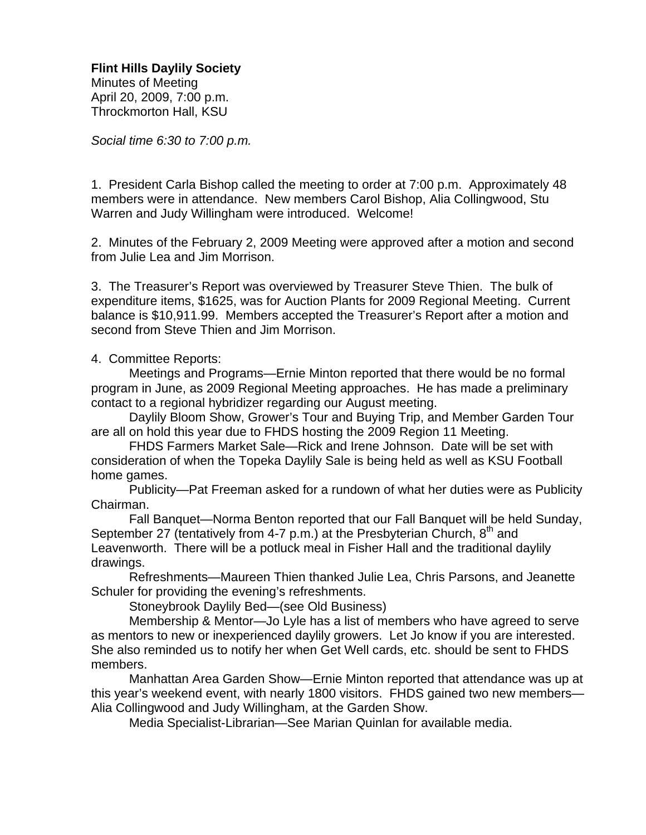Minutes of Meeting April 20, 2009, 7:00 p.m. Throckmorton Hall, KSU

*Social time 6:30 to 7:00 p.m.* 

1. President Carla Bishop called the meeting to order at 7:00 p.m. Approximately 48 members were in attendance. New members Carol Bishop, Alia Collingwood, Stu Warren and Judy Willingham were introduced. Welcome!

2. Minutes of the February 2, 2009 Meeting were approved after a motion and second from Julie Lea and Jim Morrison.

3. The Treasurer's Report was overviewed by Treasurer Steve Thien. The bulk of expenditure items, \$1625, was for Auction Plants for 2009 Regional Meeting. Current balance is \$10,911.99. Members accepted the Treasurer's Report after a motion and second from Steve Thien and Jim Morrison.

4. Committee Reports:

 Meetings and Programs—Ernie Minton reported that there would be no formal program in June, as 2009 Regional Meeting approaches. He has made a preliminary contact to a regional hybridizer regarding our August meeting.

 Daylily Bloom Show, Grower's Tour and Buying Trip, and Member Garden Tour are all on hold this year due to FHDS hosting the 2009 Region 11 Meeting.

 FHDS Farmers Market Sale—Rick and Irene Johnson. Date will be set with consideration of when the Topeka Daylily Sale is being held as well as KSU Football home games.

 Publicity—Pat Freeman asked for a rundown of what her duties were as Publicity Chairman.

 Fall Banquet—Norma Benton reported that our Fall Banquet will be held Sunday, September 27 (tentatively from 4-7 p.m.) at the Presbyterian Church,  $8<sup>th</sup>$  and Leavenworth. There will be a potluck meal in Fisher Hall and the traditional daylily drawings.

 Refreshments—Maureen Thien thanked Julie Lea, Chris Parsons, and Jeanette Schuler for providing the evening's refreshments.

Stoneybrook Daylily Bed—(see Old Business)

 Membership & Mentor—Jo Lyle has a list of members who have agreed to serve as mentors to new or inexperienced daylily growers. Let Jo know if you are interested. She also reminded us to notify her when Get Well cards, etc. should be sent to FHDS members.

 Manhattan Area Garden Show—Ernie Minton reported that attendance was up at this year's weekend event, with nearly 1800 visitors. FHDS gained two new members— Alia Collingwood and Judy Willingham, at the Garden Show.

Media Specialist-Librarian—See Marian Quinlan for available media.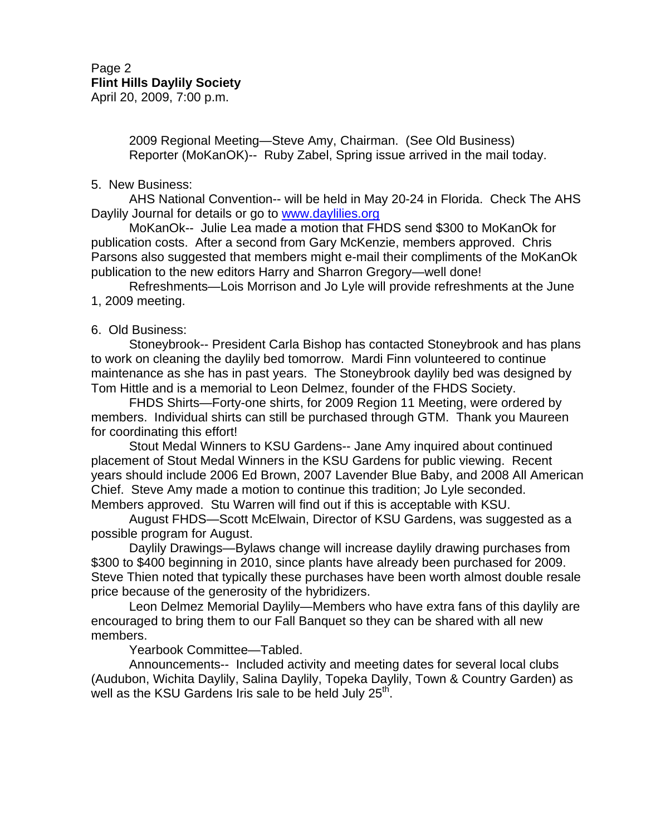2009 Regional Meeting—Steve Amy, Chairman. (See Old Business) Reporter (MoKanOK)-- Ruby Zabel, Spring issue arrived in the mail today.

# 5. New Business:

 AHS National Convention-- will be held in May 20-24 in Florida. Check The AHS Daylily Journal for details or go to www.daylilies.org

 MoKanOk-- Julie Lea made a motion that FHDS send \$300 to MoKanOk for publication costs. After a second from Gary McKenzie, members approved. Chris Parsons also suggested that members might e-mail their compliments of the MoKanOk publication to the new editors Harry and Sharron Gregory—well done!

 Refreshments—Lois Morrison and Jo Lyle will provide refreshments at the June 1, 2009 meeting.

# 6. Old Business:

 Stoneybrook-- President Carla Bishop has contacted Stoneybrook and has plans to work on cleaning the daylily bed tomorrow. Mardi Finn volunteered to continue maintenance as she has in past years. The Stoneybrook daylily bed was designed by Tom Hittle and is a memorial to Leon Delmez, founder of the FHDS Society.

 FHDS Shirts—Forty-one shirts, for 2009 Region 11 Meeting, were ordered by members. Individual shirts can still be purchased through GTM. Thank you Maureen for coordinating this effort!

 Stout Medal Winners to KSU Gardens-- Jane Amy inquired about continued placement of Stout Medal Winners in the KSU Gardens for public viewing. Recent years should include 2006 Ed Brown, 2007 Lavender Blue Baby, and 2008 All American Chief. Steve Amy made a motion to continue this tradition; Jo Lyle seconded. Members approved. Stu Warren will find out if this is acceptable with KSU.

 August FHDS—Scott McElwain, Director of KSU Gardens, was suggested as a possible program for August.

 Daylily Drawings—Bylaws change will increase daylily drawing purchases from \$300 to \$400 beginning in 2010, since plants have already been purchased for 2009. Steve Thien noted that typically these purchases have been worth almost double resale price because of the generosity of the hybridizers.

 Leon Delmez Memorial Daylily—Members who have extra fans of this daylily are encouraged to bring them to our Fall Banquet so they can be shared with all new members.

Yearbook Committee—Tabled.

 Announcements-- Included activity and meeting dates for several local clubs (Audubon, Wichita Daylily, Salina Daylily, Topeka Daylily, Town & Country Garden) as well as the KSU Gardens Iris sale to be held July 25<sup>th</sup>.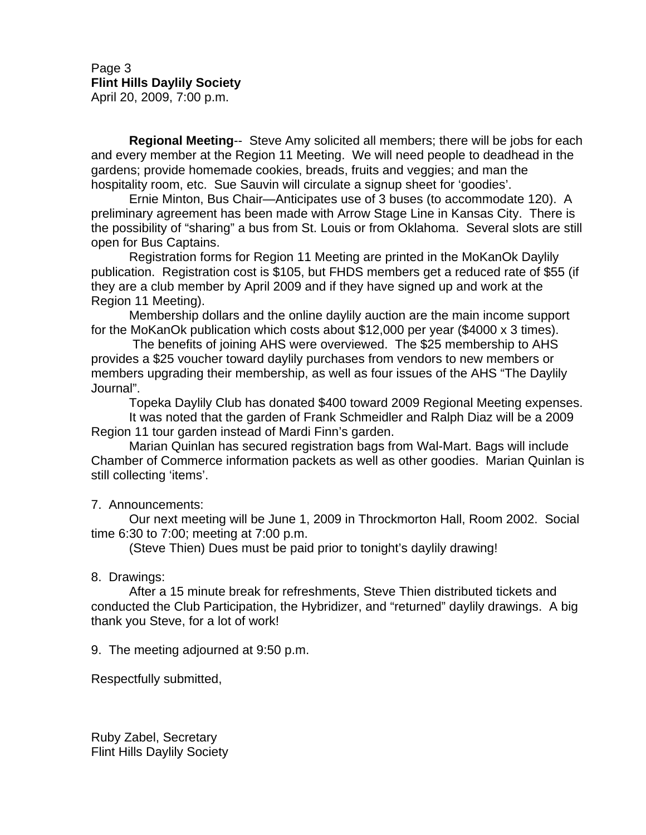Page 3 **Flint Hills Daylily Society** April 20, 2009, 7:00 p.m.

**Regional Meeting**-- Steve Amy solicited all members; there will be jobs for each and every member at the Region 11 Meeting. We will need people to deadhead in the gardens; provide homemade cookies, breads, fruits and veggies; and man the hospitality room, etc. Sue Sauvin will circulate a signup sheet for 'goodies'.

 Ernie Minton, Bus Chair—Anticipates use of 3 buses (to accommodate 120). A preliminary agreement has been made with Arrow Stage Line in Kansas City. There is the possibility of "sharing" a bus from St. Louis or from Oklahoma. Several slots are still open for Bus Captains.

 Registration forms for Region 11 Meeting are printed in the MoKanOk Daylily publication. Registration cost is \$105, but FHDS members get a reduced rate of \$55 (if they are a club member by April 2009 and if they have signed up and work at the Region 11 Meeting).

Membership dollars and the online daylily auction are the main income support for the MoKanOk publication which costs about \$12,000 per year (\$4000 x 3 times).

 The benefits of joining AHS were overviewed. The \$25 membership to AHS provides a \$25 voucher toward daylily purchases from vendors to new members or members upgrading their membership, as well as four issues of the AHS "The Daylily Journal".

Topeka Daylily Club has donated \$400 toward 2009 Regional Meeting expenses.

It was noted that the garden of Frank Schmeidler and Ralph Diaz will be a 2009 Region 11 tour garden instead of Mardi Finn's garden.

Marian Quinlan has secured registration bags from Wal-Mart. Bags will include Chamber of Commerce information packets as well as other goodies. Marian Quinlan is still collecting 'items'.

7. Announcements:

 Our next meeting will be June 1, 2009 in Throckmorton Hall, Room 2002. Social time 6:30 to 7:00; meeting at 7:00 p.m.

(Steve Thien) Dues must be paid prior to tonight's daylily drawing!

## 8. Drawings:

 After a 15 minute break for refreshments, Steve Thien distributed tickets and conducted the Club Participation, the Hybridizer, and "returned" daylily drawings. A big thank you Steve, for a lot of work!

9. The meeting adjourned at 9:50 p.m.

Respectfully submitted,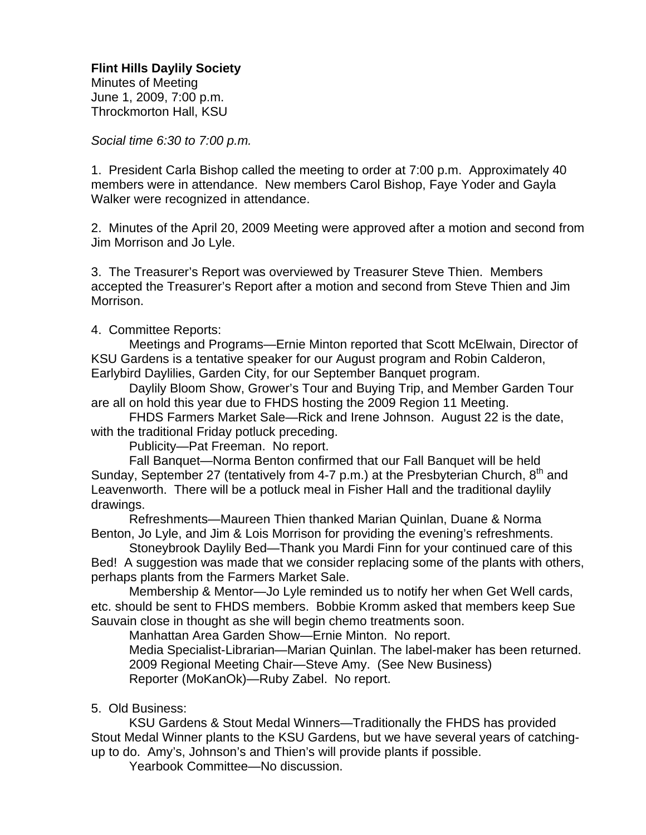Minutes of Meeting June 1, 2009, 7:00 p.m. Throckmorton Hall, KSU

*Social time 6:30 to 7:00 p.m.* 

1. President Carla Bishop called the meeting to order at 7:00 p.m. Approximately 40 members were in attendance. New members Carol Bishop, Faye Yoder and Gayla Walker were recognized in attendance.

2. Minutes of the April 20, 2009 Meeting were approved after a motion and second from Jim Morrison and Jo Lyle.

3. The Treasurer's Report was overviewed by Treasurer Steve Thien. Members accepted the Treasurer's Report after a motion and second from Steve Thien and Jim Morrison.

4. Committee Reports:

 Meetings and Programs—Ernie Minton reported that Scott McElwain, Director of KSU Gardens is a tentative speaker for our August program and Robin Calderon, Earlybird Daylilies, Garden City, for our September Banquet program.

 Daylily Bloom Show, Grower's Tour and Buying Trip, and Member Garden Tour are all on hold this year due to FHDS hosting the 2009 Region 11 Meeting.

 FHDS Farmers Market Sale—Rick and Irene Johnson. August 22 is the date, with the traditional Friday potluck preceding.

Publicity—Pat Freeman. No report.

 Fall Banquet—Norma Benton confirmed that our Fall Banquet will be held Sunday, September 27 (tentatively from 4-7 p.m.) at the Presbyterian Church,  $8<sup>th</sup>$  and Leavenworth. There will be a potluck meal in Fisher Hall and the traditional daylily drawings.

 Refreshments—Maureen Thien thanked Marian Quinlan, Duane & Norma Benton, Jo Lyle, and Jim & Lois Morrison for providing the evening's refreshments.

 Stoneybrook Daylily Bed—Thank you Mardi Finn for your continued care of this Bed! A suggestion was made that we consider replacing some of the plants with others, perhaps plants from the Farmers Market Sale.

 Membership & Mentor—Jo Lyle reminded us to notify her when Get Well cards, etc. should be sent to FHDS members. Bobbie Kromm asked that members keep Sue Sauvain close in thought as she will begin chemo treatments soon.

Manhattan Area Garden Show—Ernie Minton. No report.

 Media Specialist-Librarian—Marian Quinlan. The label-maker has been returned. 2009 Regional Meeting Chair—Steve Amy. (See New Business) Reporter (MoKanOk)—Ruby Zabel. No report.

# 5. Old Business:

 KSU Gardens & Stout Medal Winners—Traditionally the FHDS has provided Stout Medal Winner plants to the KSU Gardens, but we have several years of catchingup to do. Amy's, Johnson's and Thien's will provide plants if possible.

Yearbook Committee—No discussion.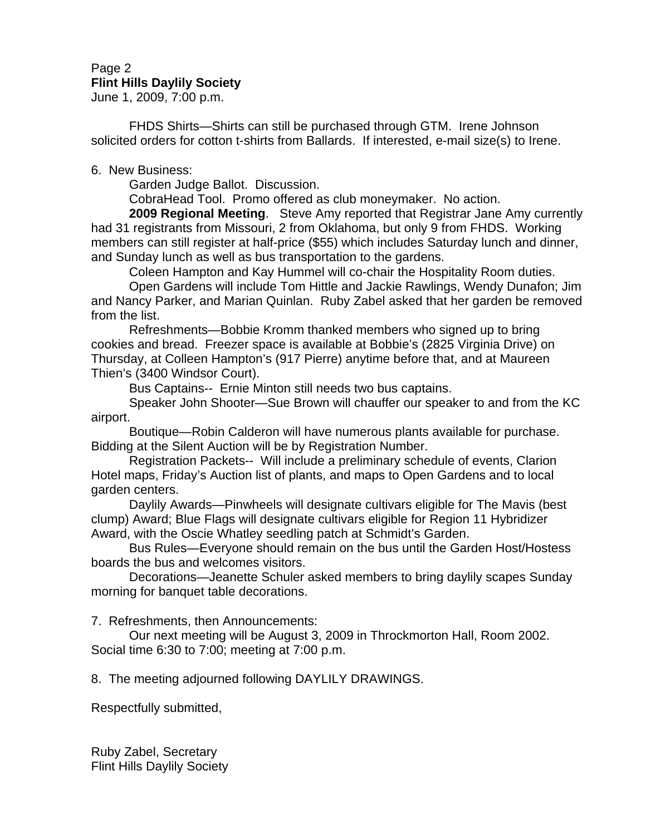# Page 2 **Flint Hills Daylily Society**

June 1, 2009, 7:00 p.m.

 FHDS Shirts—Shirts can still be purchased through GTM. Irene Johnson solicited orders for cotton t-shirts from Ballards. If interested, e-mail size(s) to Irene.

6. New Business:

Garden Judge Ballot. Discussion.

CobraHead Tool. Promo offered as club moneymaker. No action.

**2009 Regional Meeting**. Steve Amy reported that Registrar Jane Amy currently had 31 registrants from Missouri, 2 from Oklahoma, but only 9 from FHDS. Working members can still register at half-price (\$55) which includes Saturday lunch and dinner, and Sunday lunch as well as bus transportation to the gardens.

Coleen Hampton and Kay Hummel will co-chair the Hospitality Room duties.

 Open Gardens will include Tom Hittle and Jackie Rawlings, Wendy Dunafon; Jim and Nancy Parker, and Marian Quinlan. Ruby Zabel asked that her garden be removed from the list.

 Refreshments—Bobbie Kromm thanked members who signed up to bring cookies and bread. Freezer space is available at Bobbie's (2825 Virginia Drive) on Thursday, at Colleen Hampton's (917 Pierre) anytime before that, and at Maureen Thien's (3400 Windsor Court).

Bus Captains-- Ernie Minton still needs two bus captains.

 Speaker John Shooter—Sue Brown will chauffer our speaker to and from the KC airport.

 Boutique—Robin Calderon will have numerous plants available for purchase. Bidding at the Silent Auction will be by Registration Number.

 Registration Packets-- Will include a preliminary schedule of events, Clarion Hotel maps, Friday's Auction list of plants, and maps to Open Gardens and to local garden centers.

 Daylily Awards—Pinwheels will designate cultivars eligible for The Mavis (best clump) Award; Blue Flags will designate cultivars eligible for Region 11 Hybridizer Award, with the Oscie Whatley seedling patch at Schmidt's Garden.

 Bus Rules—Everyone should remain on the bus until the Garden Host/Hostess boards the bus and welcomes visitors.

 Decorations—Jeanette Schuler asked members to bring daylily scapes Sunday morning for banquet table decorations.

7. Refreshments, then Announcements:

 Our next meeting will be August 3, 2009 in Throckmorton Hall, Room 2002. Social time 6:30 to 7:00; meeting at 7:00 p.m.

8. The meeting adjourned following DAYLILY DRAWINGS.

Respectfully submitted,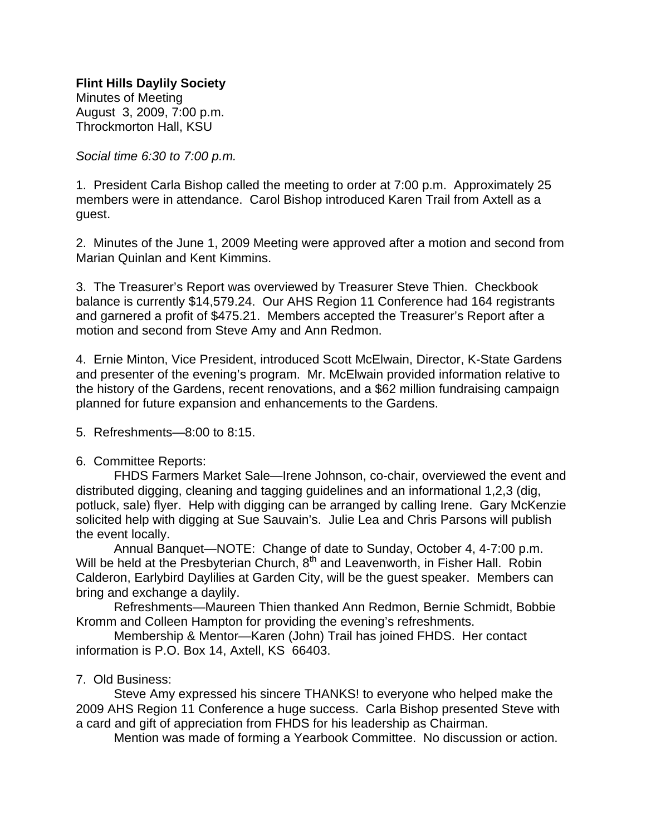**Flint Hills Daylily Society** Minutes of Meeting August 3, 2009, 7:00 p.m. Throckmorton Hall, KSU

*Social time 6:30 to 7:00 p.m.*

1. President Carla Bishop called the meeting to order at 7:00 p.m. Approximately 25 members were in attendance. Carol Bishop introduced Karen Trail from Axtell as a guest.

2. Minutes of the June 1, 2009 Meeting were approved after a motion and second from Marian Quinlan and Kent Kimmins.

3. The Treasurer's Report was overviewed by Treasurer Steve Thien. Checkbook balance is currently \$14,579.24. Our AHS Region 11 Conference had 164 registrants and garnered a profit of \$475.21. Members accepted the Treasurer's Report after a motion and second from Steve Amy and Ann Redmon.

4. Ernie Minton, Vice President, introduced Scott McElwain, Director, K-State Gardens and presenter of the evening's program. Mr. McElwain provided information relative to the history of the Gardens, recent renovations, and a \$62 million fundraising campaign planned for future expansion and enhancements to the Gardens.

5. Refreshments—8:00 to 8:15.

## 6. Committee Reports:

 FHDS Farmers Market Sale—Irene Johnson, co-chair, overviewed the event and distributed digging, cleaning and tagging guidelines and an informational 1,2,3 (dig, potluck, sale) flyer. Help with digging can be arranged by calling Irene. Gary McKenzie solicited help with digging at Sue Sauvain's. Julie Lea and Chris Parsons will publish the event locally.

 Annual Banquet—NOTE: Change of date to Sunday, October 4, 4-7:00 p.m. Will be held at the Presbyterian Church, 8<sup>th</sup> and Leavenworth, in Fisher Hall. Robin Calderon, Earlybird Daylilies at Garden City, will be the guest speaker. Members can bring and exchange a daylily.

 Refreshments—Maureen Thien thanked Ann Redmon, Bernie Schmidt, Bobbie Kromm and Colleen Hampton for providing the evening's refreshments.

 Membership & Mentor—Karen (John) Trail has joined FHDS. Her contact information is P.O. Box 14, Axtell, KS 66403.

## 7. Old Business:

 Steve Amy expressed his sincere THANKS! to everyone who helped make the 2009 AHS Region 11 Conference a huge success. Carla Bishop presented Steve with a card and gift of appreciation from FHDS for his leadership as Chairman.

Mention was made of forming a Yearbook Committee. No discussion or action.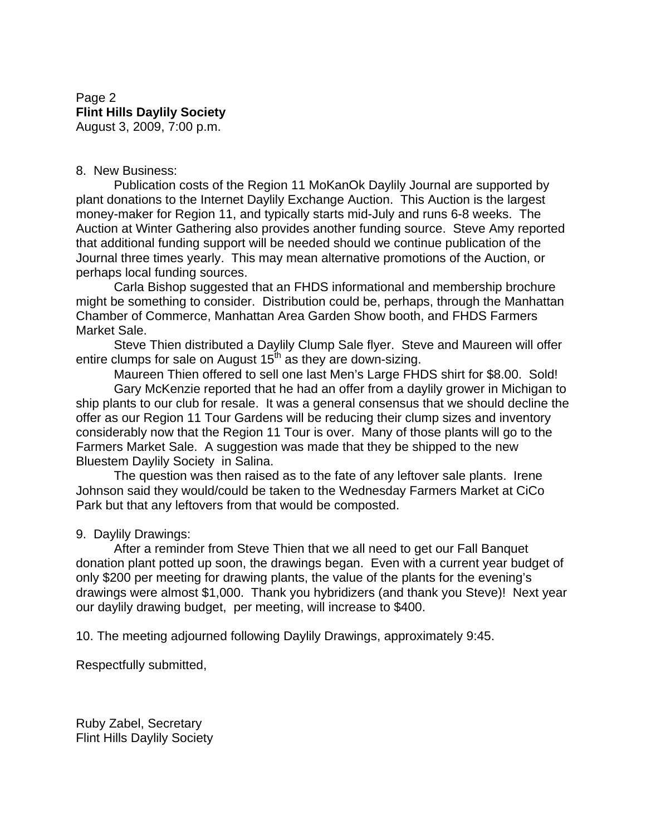# Page 2 **Flint Hills Daylily Society** August 3, 2009, 7:00 p.m.

# 8. New Business:

 Publication costs of the Region 11 MoKanOk Daylily Journal are supported by plant donations to the Internet Daylily Exchange Auction. This Auction is the largest money-maker for Region 11, and typically starts mid-July and runs 6-8 weeks. The Auction at Winter Gathering also provides another funding source. Steve Amy reported that additional funding support will be needed should we continue publication of the Journal three times yearly. This may mean alternative promotions of the Auction, or perhaps local funding sources.

 Carla Bishop suggested that an FHDS informational and membership brochure might be something to consider. Distribution could be, perhaps, through the Manhattan Chamber of Commerce, Manhattan Area Garden Show booth, and FHDS Farmers Market Sale.

 Steve Thien distributed a Daylily Clump Sale flyer. Steve and Maureen will offer entire clumps for sale on August  $15<sup>th</sup>$  as they are down-sizing.

 Maureen Thien offered to sell one last Men's Large FHDS shirt for \$8.00. Sold! Gary McKenzie reported that he had an offer from a daylily grower in Michigan to ship plants to our club for resale. It was a general consensus that we should decline the offer as our Region 11 Tour Gardens will be reducing their clump sizes and inventory considerably now that the Region 11 Tour is over. Many of those plants will go to the Farmers Market Sale. A suggestion was made that they be shipped to the new Bluestem Daylily Society in Salina.

 The question was then raised as to the fate of any leftover sale plants. Irene Johnson said they would/could be taken to the Wednesday Farmers Market at CiCo Park but that any leftovers from that would be composted.

## 9. Daylily Drawings:

 After a reminder from Steve Thien that we all need to get our Fall Banquet donation plant potted up soon, the drawings began. Even with a current year budget of only \$200 per meeting for drawing plants, the value of the plants for the evening's drawings were almost \$1,000. Thank you hybridizers (and thank you Steve)! Next year our daylily drawing budget, per meeting, will increase to \$400.

10. The meeting adjourned following Daylily Drawings, approximately 9:45.

Respectfully submitted,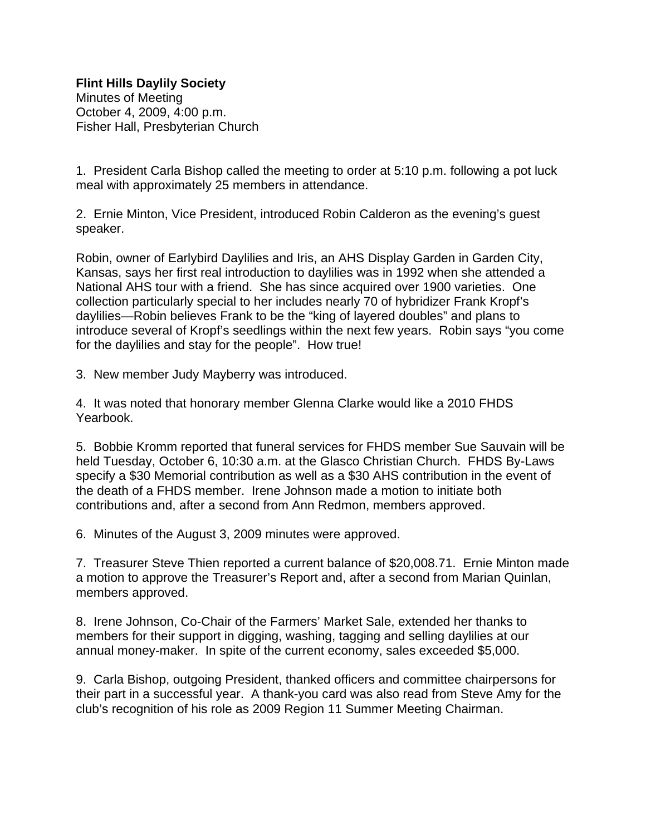Minutes of Meeting October 4, 2009, 4:00 p.m. Fisher Hall, Presbyterian Church

1. President Carla Bishop called the meeting to order at 5:10 p.m. following a pot luck meal with approximately 25 members in attendance.

2. Ernie Minton, Vice President, introduced Robin Calderon as the evening's guest speaker.

Robin, owner of Earlybird Daylilies and Iris, an AHS Display Garden in Garden City, Kansas, says her first real introduction to daylilies was in 1992 when she attended a National AHS tour with a friend. She has since acquired over 1900 varieties. One collection particularly special to her includes nearly 70 of hybridizer Frank Kropf's daylilies—Robin believes Frank to be the "king of layered doubles" and plans to introduce several of Kropf's seedlings within the next few years. Robin says "you come for the daylilies and stay for the people". How true!

3. New member Judy Mayberry was introduced.

4. It was noted that honorary member Glenna Clarke would like a 2010 FHDS Yearbook.

5. Bobbie Kromm reported that funeral services for FHDS member Sue Sauvain will be held Tuesday, October 6, 10:30 a.m. at the Glasco Christian Church. FHDS By-Laws specify a \$30 Memorial contribution as well as a \$30 AHS contribution in the event of the death of a FHDS member. Irene Johnson made a motion to initiate both contributions and, after a second from Ann Redmon, members approved.

6. Minutes of the August 3, 2009 minutes were approved.

7. Treasurer Steve Thien reported a current balance of \$20,008.71. Ernie Minton made a motion to approve the Treasurer's Report and, after a second from Marian Quinlan, members approved.

8. Irene Johnson, Co-Chair of the Farmers' Market Sale, extended her thanks to members for their support in digging, washing, tagging and selling daylilies at our annual money-maker. In spite of the current economy, sales exceeded \$5,000.

9. Carla Bishop, outgoing President, thanked officers and committee chairpersons for their part in a successful year. A thank-you card was also read from Steve Amy for the club's recognition of his role as 2009 Region 11 Summer Meeting Chairman.